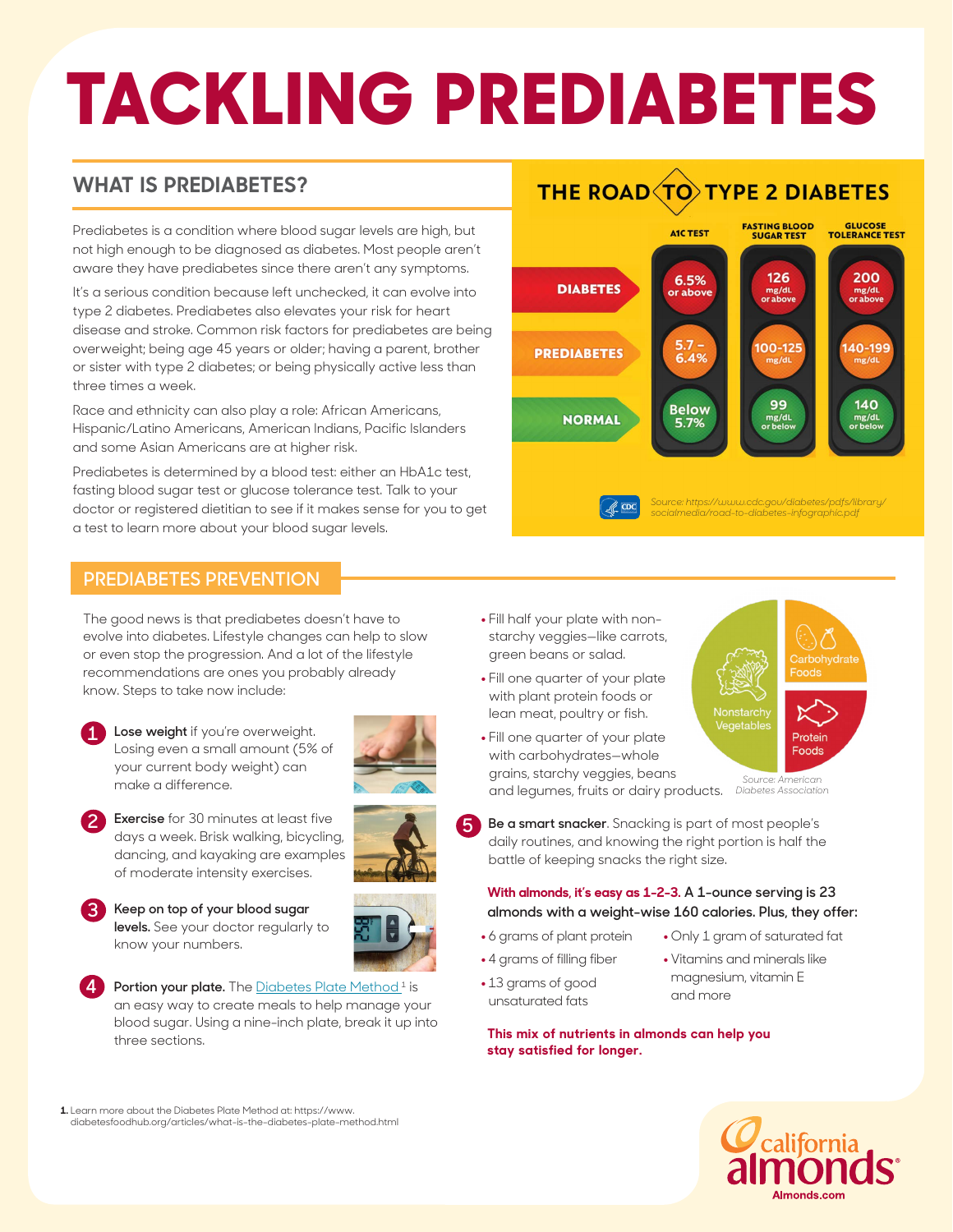# **TACKLING PREDIABETES**

## **WHAT IS PREDIABETES?**

Prediabetes is a condition where blood sugar levels are high, but not high enough to be diagnosed as diabetes. Most people aren't aware they have prediabetes since there aren't any symptoms.

It's a serious condition because left unchecked, it can evolve into type 2 diabetes. Prediabetes also elevates your risk for heart disease and stroke. Common risk factors for prediabetes are being overweight; being age 45 years or older; having a parent, brother or sister with type 2 diabetes; or being physically active less than three times a week.

Race and ethnicity can also play a role: African Americans, Hispanic/Latino Americans, American Indians, Pacific Islanders and some Asian Americans are at higher risk.

Prediabetes is determined by a blood test: either an HbA1c test, fasting blood sugar test or glucose tolerance test. Talk to your doctor or registered dietitian to see if it makes sense for you to get a test to learn more about your blood sugar levels.

# **THE ROAD TO TYPE 2 DIABETES**



#### **PREDIABETES PREVENTION**

The good news is that prediabetes doesn't have to evolve into diabetes. Lifestyle changes can help to slow or even stop the progression. And a lot of the lifestyle recommendations are ones you probably already know. Steps to take now include:



**Lose weight** if you're overweight. Losing even a small amount (5% of your current body weight) can make a difference.



- **Exercise** for 30 minutes at least five days a week. Brisk walking, bicycling, dancing, and kayaking are examples of moderate intensity exercises.  **2**
- **3**
- **Keep on top of your blood sugar levels.** See your doctor regularly to know your numbers.

Portion your plate. The [Diabetes Plate Method](https://www.diabetesfoodhub.org/articles/what-is-the-diabetes-plate-method.html)<sup>1</sup> is an easy way to create meals to help manage your blood sugar. Using a nine-inch plate, break it up into three sections. **4**

- **•** Fill half your plate with nonstarchy veggies—like carrots, green beans or salad.
- Fill one quarter of your plate with plant protein foods or lean meat, poultry or fish.
- Fill one quarter of your plate with carbohydrates—whole grains, starchy veggies, beans and legumes, fruits or dairy products.

arbohydrate egetable Protein Foods *Source: American* 

**•** Only 1 gram of saturated fat **•** Vitamins and minerals like magnesium, vitamin E

*Diabetes Association*

**Be a smart snacker**. Snacking is part of most people's daily routines, and knowing the right portion is half the battle of keeping snacks the right size. **5**

#### **With almonds, it's easy as 1-2-3. A 1-ounce serving is 23 almonds with a weight-wise 160 calories. Plus, they offer:**

and more

- **•** 6 grams of plant protein
- **•** 4 grams of filling fiber
- **•** 13 grams of good unsaturated fats
- **This mix of nutrients in almonds can help you stay satisfied for longer.**



**1.** Learn more about the Diabetes Plate Method at: https://www. diabetesfoodhub.org/articles/what-is-the-diabetes-plate-method.html